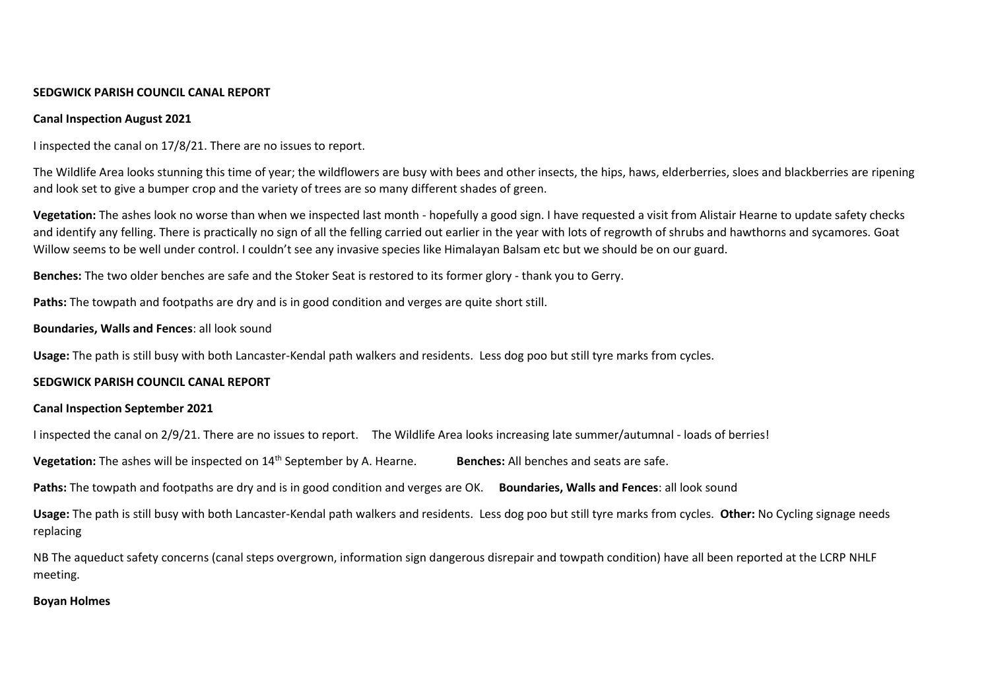# **SEDGWICK PARISH COUNCIL CANAL REPORT**

### **Canal Inspection August 2021**

I inspected the canal on 17/8/21. There are no issues to report.

The Wildlife Area looks stunning this time of year; the wildflowers are busy with bees and other insects, the hips, haws, elderberries, sloes and blackberries are ripening and look set to give a bumper crop and the variety of trees are so many different shades of green.

**Vegetation:** The ashes look no worse than when we inspected last month - hopefully a good sign. I have requested a visit from Alistair Hearne to update safety checks and identify any felling. There is practically no sign of all the felling carried out earlier in the year with lots of regrowth of shrubs and hawthorns and sycamores. Goat Willow seems to be well under control. I couldn't see any invasive species like Himalayan Balsam etc but we should be on our guard.

**Benches:** The two older benches are safe and the Stoker Seat is restored to its former glory - thank you to Gerry.

**Paths:** The towpath and footpaths are dry and is in good condition and verges are quite short still.

#### **Boundaries, Walls and Fences**: all look sound

**Usage:** The path is still busy with both Lancaster-Kendal path walkers and residents. Less dog poo but still tyre marks from cycles.

#### **SEDGWICK PARISH COUNCIL CANAL REPORT**

#### **Canal Inspection September 2021**

I inspected the canal on 2/9/21. There are no issues to report. The Wildlife Area looks increasing late summer/autumnal - loads of berries!

**Vegetation:** The ashes will be inspected on 14<sup>th</sup> September by A. Hearne. **Benches:** All benches and seats are safe.

**Paths:** The towpath and footpaths are dry and is in good condition and verges are OK. **Boundaries, Walls and Fences**: all look sound

**Usage:** The path is still busy with both Lancaster-Kendal path walkers and residents. Less dog poo but still tyre marks from cycles. **Other:** No Cycling signage needs replacing

NB The aqueduct safety concerns (canal steps overgrown, information sign dangerous disrepair and towpath condition) have all been reported at the LCRP NHLF meeting.

# **Boyan Holmes**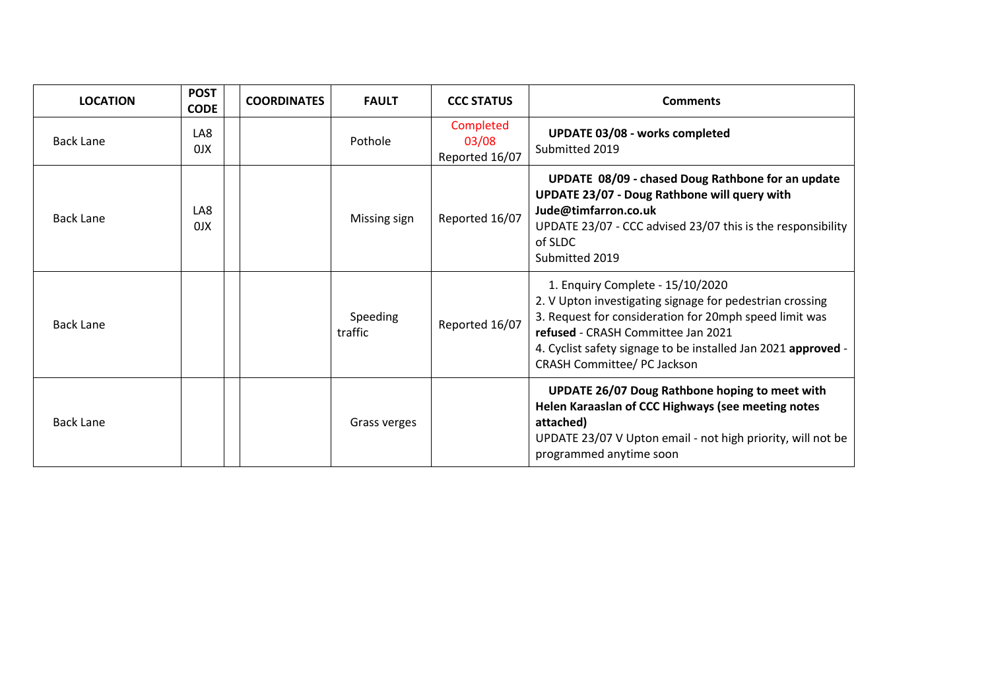| <b>LOCATION</b>  | <b>POST</b><br><b>CODE</b> | <b>COORDINATES</b> | <b>FAULT</b>        | <b>CCC STATUS</b>                    | <b>Comments</b>                                                                                                                                                                                                                                                                              |
|------------------|----------------------------|--------------------|---------------------|--------------------------------------|----------------------------------------------------------------------------------------------------------------------------------------------------------------------------------------------------------------------------------------------------------------------------------------------|
| <b>Back Lane</b> | LA8<br>0JX                 |                    | Pothole             | Completed<br>03/08<br>Reported 16/07 | <b>UPDATE 03/08 - works completed</b><br>Submitted 2019                                                                                                                                                                                                                                      |
| <b>Back Lane</b> | LA8<br>0 <sup>N</sup>      |                    | Missing sign        | Reported 16/07                       | UPDATE 08/09 - chased Doug Rathbone for an update<br><b>UPDATE 23/07 - Doug Rathbone will query with</b><br>Jude@timfarron.co.uk<br>UPDATE 23/07 - CCC advised 23/07 this is the responsibility<br>of SLDC<br>Submitted 2019                                                                 |
| <b>Back Lane</b> |                            |                    | Speeding<br>traffic | Reported 16/07                       | 1. Enquiry Complete - 15/10/2020<br>2. V Upton investigating signage for pedestrian crossing<br>3. Request for consideration for 20mph speed limit was<br>refused - CRASH Committee Jan 2021<br>4. Cyclist safety signage to be installed Jan 2021 approved -<br>CRASH Committee/ PC Jackson |
| <b>Back Lane</b> |                            |                    | Grass verges        |                                      | <b>UPDATE 26/07 Doug Rathbone hoping to meet with</b><br>Helen Karaaslan of CCC Highways (see meeting notes<br>attached)<br>UPDATE 23/07 V Upton email - not high priority, will not be<br>programmed anytime soon                                                                           |